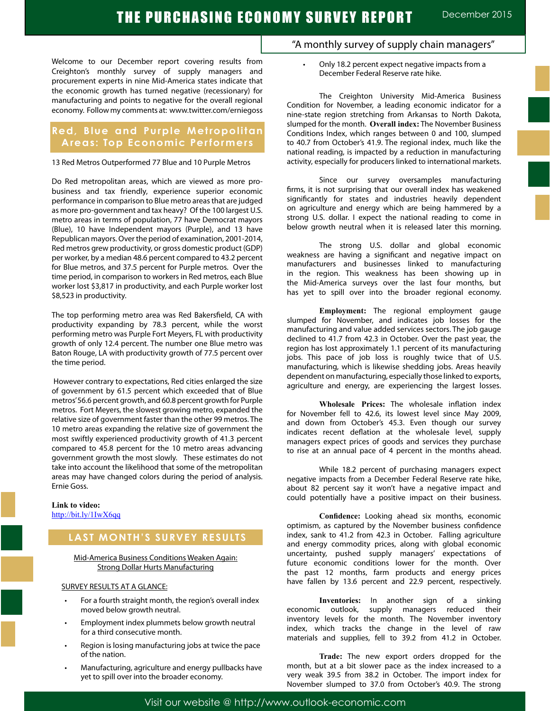Welcome to our December report covering results from Creighton's monthly survey of supply managers and procurement experts in nine Mid-America states indicate that the economic growth has turned negative (recessionary) for manufacturing and points to negative for the overall regional economy. Follow my comments at: www.twitter.com/erniegoss

## **Red, Blue and Purple Metropolitan Areas: Top Economic Performers**

#### 13 Red Metros Outperformed 77 Blue and 10 Purple Metros

Do Red metropolitan areas, which are viewed as more probusiness and tax friendly, experience superior economic performance in comparison to Blue metro areas that are judged as more pro-government and tax heavy? Of the 100 largest U.S. metro areas in terms of population, 77 have Democrat mayors (Blue), 10 have Independent mayors (Purple), and 13 have Republican mayors. Over the period of examination, 2001-2014, Red metros grew productivity, or gross domestic product (GDP) per worker, by a median 48.6 percent compared to 43.2 percent for Blue metros, and 37.5 percent for Purple metros. Over the time period, in comparison to workers in Red metros, each Blue worker lost \$3,817 in productivity, and each Purple worker lost \$8,523 in productivity.

The top performing metro area was Red Bakersfield, CA with productivity expanding by 78.3 percent, while the worst performing metro was Purple Fort Meyers, FL with productivity growth of only 12.4 percent. The number one Blue metro was Baton Rouge, LA with productivity growth of 77.5 percent over the time period.

 However contrary to expectations, Red cities enlarged the size of government by 61.5 percent which exceeded that of Blue metros' 56.6 percent growth, and 60.8 percent growth for Purple metros. Fort Meyers, the slowest growing metro, expanded the relative size of government faster than the other 99 metros. The 10 metro areas expanding the relative size of government the most swiftly experienced productivity growth of 41.3 percent compared to 45.8 percent for the 10 metro areas advancing government growth the most slowly. These estimates do not take into account the likelihood that some of the metropolitan areas may have changed colors during the period of analysis. Ernie Goss.

## **Link to video:** http://bit.ly/1IwX6qq

## **LAST MONTH'S SURVEY RESULTS**

## Mid-America Business Conditions Weaken Again: Strong Dollar Hurts Manufacturing

## SURVEY RESULTS AT A GLANCE:

- For a fourth straight month, the region's overall index moved below growth neutral.
- Employment index plummets below growth neutral for a third consecutive month.
- Region is losing manufacturing jobs at twice the pace of the nation.
- Manufacturing, agriculture and energy pullbacks have yet to spill over into the broader economy.

## "A monthly survey of supply chain managers"

Only 18.2 percent expect negative impacts from a December Federal Reserve rate hike.

The Creighton University Mid-America Business Condition for November, a leading economic indicator for a nine-state region stretching from Arkansas to North Dakota, slumped for the month. **Overall index:** The November Business Conditions Index, which ranges between 0 and 100, slumped to 40.7 from October's 41.9. The regional index, much like the national reading, is impacted by a reduction in manufacturing activity, especially for producers linked to international markets.

Since our survey oversamples manufacturing firms, it is not surprising that our overall index has weakened significantly for states and industries heavily dependent on agriculture and energy which are being hammered by a strong U.S. dollar. I expect the national reading to come in below growth neutral when it is released later this morning.

The strong U.S. dollar and global economic weakness are having a significant and negative impact on manufacturers and businesses linked to manufacturing in the region. This weakness has been showing up in the Mid-America surveys over the last four months, but has yet to spill over into the broader regional economy.

**Employment:** The regional employment gauge slumped for November, and indicates job losses for the manufacturing and value added services sectors. The job gauge declined to 41.7 from 42.3 in October. Over the past year, the region has lost approximately 1.1 percent of its manufacturing jobs. This pace of job loss is roughly twice that of U.S. manufacturing, which is likewise shedding jobs. Areas heavily dependent on manufacturing, especially those linked to exports, agriculture and energy, are experiencing the largest losses.

**Wholesale Prices:** The wholesale inflation index for November fell to 42.6, its lowest level since May 2009, and down from October's 45.3. Even though our survey indicates recent deflation at the wholesale level, supply managers expect prices of goods and services they purchase to rise at an annual pace of 4 percent in the months ahead.

While 18.2 percent of purchasing managers expect negative impacts from a December Federal Reserve rate hike, about 82 percent say it won't have a negative impact and could potentially have a positive impact on their business.

**Confidence:** Looking ahead six months, economic optimism, as captured by the November business confidence index, sank to 41.2 from 42.3 in October. Falling agriculture and energy commodity prices, along with global economic uncertainty, pushed supply managers' expectations of future economic conditions lower for the month. Over the past 12 months, farm products and energy prices have fallen by 13.6 percent and 22.9 percent, respectively.

**Inventories:** In another sign of a sinking economic outlook, supply managers reduced their inventory levels for the month. The November inventory index, which tracks the change in the level of raw materials and supplies, fell to 39.2 from 41.2 in October.

**Trade:** The new export orders dropped for the month, but at a bit slower pace as the index increased to a very weak 39.5 from 38.2 in October. The import index for November slumped to 37.0 from October's 40.9. The strong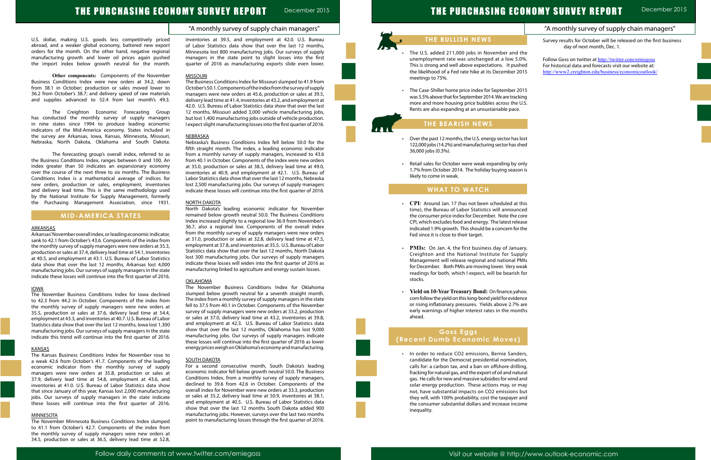## "A monthly survey of supply chain managers"

# THE PURCHASING ECONOMY SURVEY REPORT December 2015

U.S. dollar, making U.S. goods less competitively priced abroad, and a weaker global economy, battered new export orders for the month. On the other hand, negative regional manufacturing growth and lower oil prices again pushed the import index below growth neutral for the month.

**Other components:** Components of the November Business Conditions Index were new orders at 34.2, down from 38.1 in October; production or sales moved lower to 36.2 from October's 38.7; and delivery speed of raw materials and supplies advanced to 52.4 from last month's 49.3.

The Creighton Economic Forecasting Group has conducted the monthly survey of supply managers in nine states since 1994 to produce leading economic indicators of the Mid-America economy. States included in the survey are Arkansas, Iowa, Kansas, Minnesota, Missouri, Nebraska, North Dakota, Oklahoma and South Dakota.

The forecasting group's overall index, referred to as the Business Conditions Index, ranges between 0 and 100. An index greater than 50 indicates an expansionary economy over the course of the next three to six months. The Business Conditions Index is a mathematical average of indices for new orders, production or sales, employment, inventories and delivery lead time. This is the same methodology used by the National Institute for Supply Management, formerly the Purchasing Management Association, since 1931.

## **MID-AMERICA STATES**

## ARKANSAS

Arkansas' November overall index, or leading economic indicator, sank to 42.1 from October's 43.6. Components of the index from the monthly survey of supply managers were new orders at 35.3, production or sales at 37.4, delivery lead time at 54.1, inventories at 40.5, and employment at 43.1. U.S. Bureau of Labor Statistics data show that over the last 12 months, Arkansas lost 4,000 manufacturing jobs. Our surveys of supply managers in the state indicate these losses will continue into the first quarter of 2016.

#### IOWA

The November Business Conditions Index for Iowa declined to 42.3 from 44.2 in October. Components of the index from the monthly survey of supply managers were new orders at 35.5, production or sales at 37.6, delivery lead time at 54.4, employment at 43.3, and inventories at 40.7. U.S. Bureau of Labor Statistics data show that over the last 12 months, Iowa lost 1,300 manufacturing jobs. Our surveys of supply managers in the state indicate this trend will continue into the first quarter of 2016.

#### KANSAS

The Kansas Business Conditions Index for November rose to a weak 42.6 from October's 41.7. Components of the leading economic indicator from the monthly survey of supply managers were new orders at 35.8, production or sales at 37.9, delivery lead time at 54.8, employment at 43.6, and inventories at 41.0. U.S. Bureau of Labor Statistics data show that since January of this year, Kansas lost 2,000 manufacturing jobs. Our surveys of supply managers in the state indicate these losses will continue into the first quarter of 2016.

## MINNESOTA

The November Minnesota Business Conditions Index slumped to 41.1 from October's 42.7. Components of the index from the monthly survey of supply managers were new orders at 34.5, production or sales at 36.5, delivery lead time at 52.8,

The U.S. added 211,000 jobs in November and t unemployment rate was unchanged at a low 5.0%. This is strong and well above expectations. It push the likelihood of a Fed rate hike at its December 20 meetings to 75%.

inventories at 39.5, and employment at 42.0. U.S. Bureau of Labor Statistics data show that over the last 12 months, Minnesota lost 800 manufacturing jobs. Our surveys of supply managers in the state point to slight losses into the first quarter of 2016 as manufacturing exports slide even lower.

#### **MISSOURI**

• The Case-Shiller home price index for September 20 was 5.5% above that for September 2014. We are tracki more and more housing price bubbles across the U Rents are also expanding at an unsustainable pace.

- Over the past 12 months, the U.S. energy sector has lost 122,000 jobs (14.2%) and manufacturing sector has sh 36,000 jobs (0.3%).
- Retail sales for October were weak expanding by or 1.7% from October 2014. The holiday buying seasor likely to come in weak.

The Business Conditions Index for Missouri slumped to 41.9 from October's 50.1. Components of the index from the survey of supply managers were new orders at 45.6, production or sales at 39.5, delivery lead time at 41.4, inventories at 43.2, and employment at 42.0. U.S. Bureau of Labor Statistics data show that over the last 12 months, Missouri added 3,000 vehicle manufacturing jobs, but lost 1,400 manufacturing jobs outside of vehicle production. I expect slight manufacturing losses into the first quarter of 2016.

- CPI: Around Jan. 17 (has not been scheduled at t time), the Bureau of Labor Statistics will announc the consumer price index for December. Note the co CPI, which excludes food and energy. The latest release indicated 1.9% growth. This should be a concern for t Fed since it is close to their target.
- **PMIs:** On Jan. 4, the first business day of Janua Creighton and the National Institute for Supp Management will release regional and national PM for December. Both PMIs are moving lower. Very we readings for both, which I expect, will be bearish stocks.
- • **Yield on 10-Year Treasury Bond:** On finance.yahoo. com follow the yield on this long-bond yield for eviden or rising inflationary pressures. Yields above 2.7% early warnings of higher interest rates in the mont ahead.

#### NEBRASKA

• In order to reduce CO2 emissions, Bernie Sande candidate for the Democrat presidential nomination calls for: a carbon tax, and a ban on offshore drilling fracking for natural gas, and the export of oil and natural gas. He calls for new and massive subsidies for wind and solar energy production. These actions may, or m not, have substantial impacts on CO2 emissions b they will, with 100% probability, cost the taxpayer and the consumer substantial dollars and increase incor inequality.

Nebraska's Business Conditions Index fell below 50.0 for the fifth straight month. The index, a leading economic indicator from a monthly survey of supply managers, increased to 43.6 from 40.1 in October. Components of the index were new orders at 35.0, production or sales at 38.5, delivery lead time at 49.0, inventories at 40.9, and employment at 42.1. U.S. Bureau of Labor Statistics data show that over the last 12 months, Nebraska lost 2,500 manufacturing jobs. Our surveys of supply managers indicate these losses will continue into the first quarter of 2016.

|      | "A monthly survey of supply chain managers"                                                     |
|------|-------------------------------------------------------------------------------------------------|
|      | Survey results for October will be released on the first business<br>day of next month, Dec. 1. |
| :he  |                                                                                                 |
| )%.  | Follow Goss on twitter at http://twitter.com/erniegoss                                          |
| ıed  | For historical data and forecasts visit our website at:                                         |
| 15   | http://www2.creighton.edu/business/economicoutlook/                                             |
|      |                                                                                                 |
|      |                                                                                                 |
| 15   |                                                                                                 |
| ing  |                                                                                                 |
| J.S. |                                                                                                 |
|      |                                                                                                 |
|      |                                                                                                 |
|      |                                                                                                 |
|      |                                                                                                 |
|      |                                                                                                 |
| ost  |                                                                                                 |
| ıed  |                                                                                                 |
|      |                                                                                                 |
|      |                                                                                                 |
| nly  |                                                                                                 |
| n is |                                                                                                 |
|      |                                                                                                 |
|      |                                                                                                 |
|      |                                                                                                 |
|      |                                                                                                 |
| his  |                                                                                                 |
| ed:  |                                                                                                 |
| ore  |                                                                                                 |
| ase  |                                                                                                 |
| the  |                                                                                                 |
|      |                                                                                                 |
|      |                                                                                                 |
| ıry, |                                                                                                 |
| ply  |                                                                                                 |
| MIs  |                                                                                                 |
| eak  |                                                                                                 |
| for  |                                                                                                 |
|      |                                                                                                 |
|      |                                                                                                 |
| OO.  |                                                                                                 |
| ነርe  |                                                                                                 |
| are  |                                                                                                 |
| ths  |                                                                                                 |
|      |                                                                                                 |
|      |                                                                                                 |
|      |                                                                                                 |
|      |                                                                                                 |
|      |                                                                                                 |
|      |                                                                                                 |
| ers, |                                                                                                 |
| on,  |                                                                                                 |
| ng,  |                                                                                                 |
| ıral |                                                                                                 |
| ınd  |                                                                                                 |
| aay  |                                                                                                 |
| วนt  |                                                                                                 |
| ınd  |                                                                                                 |
| me   |                                                                                                 |
|      |                                                                                                 |
|      |                                                                                                 |
|      |                                                                                                 |
|      |                                                                                                 |
|      |                                                                                                 |

#### NORTH DAKOTA

North Dakota's leading economic indicator for November remained below growth neutral 50.0. The Business Conditions Index increased slightly to a regional low 36.9 from November's 36.7, also a regional low. Components of the overall index from the monthly survey of supply managers were new orders at 31.0, production or sales at 32.8, delivery lead time at 47.5, employment at 37.8, and inventories at 35.5. U.S. Bureau of Labor Statistics data show that over the last 12 months, North Dakota lost 300 manufacturing jobs. Our surveys of supply managers indicate these losses will widen into the first quarter of 2016 as manufacturing linked to agriculture and energy sustain losses.

#### **OKLAHOMA**

The November Business Conditions Index for Oklahoma slumped below growth neutral for a seventh straight month. The index from a monthly survey of supply managers in the state fell to 37.5 from 40.1 in October. Components of the November survey of supply managers were new orders at 33.2, production or sales at 37.0, delivery lead time at 43.2, inventories at 39.8, and employment at 42.3. U.S. Bureau of Labor Statistics data show that over the last 12 months, Oklahoma has lost 9,000 manufacturing jobs. Our surveys of supply managers indicate these losses will continue into the first quarter of 2016 as lower energy prices weigh on Oklahoma's economy and manufacturing.

#### **SOUTH DAKOTA**

For a second consecutive month, South Dakota's leading economic indicator fell below growth neutral 50.0. The Business Conditions Index, from a monthly survey of supply managers, declined to 39.6 from 42.6 in October. Components of the overall index for November were new orders at 33.3, production or sales at 35.2, delivery lead time at 50.9, inventories at 38.1, and employment at 40.5. U.S. Bureau of Labor Statistics data show that over the last 12 months South Dakota added 900 manufacturing jobs. However, surveys over the last two months point to manufacturing losses through the first quarter of 2016.

## **THE BULLISH NEWS**

## **THE BEARISH NEWS**

## **WHAT TO WATCH**

l

## **Goss Eggs (Recent Dumb Economic Moves)**